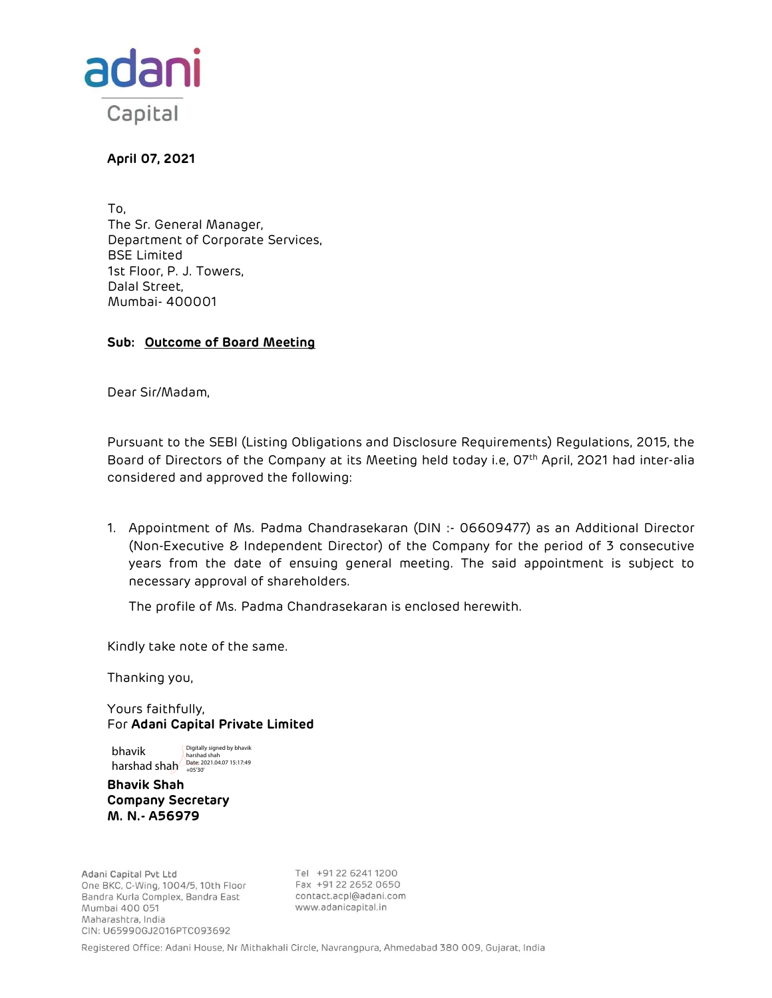

April 07, 2021

To, The Sr. General Manager, Department of Corporate Services, BSE Limited 1st Floor, P. J. Towers, Dalal Street, Mumbai- 400001

# Sub: Outcome of Board Meeting

Dear Sir/Madam,

Pursuant to the SEBI (Listing Obligations and Disclosure Requirements) Regulations, 2015, the Board of Directors of the Company at its Meeting held today i.e, 07<sup>th</sup> April, 2021 had inter-alia considered and approved the following:

1. Appointment of Ms. Padma Chandrasekaran (DIN :- 06609477) as an Additional Director (Non-Executive & Independent Director) of the Company for the period of 3 consecutive years from the date of ensuing general meeting. The said appointment is subject to necessary approval of shareholders.

The profile of Ms. Padma Chandrasekaran is enclosed herewith.

Kindly take note of the same.

Thanking you,

Yours faithfully, For Adani Capital Private Limited

bhavik Digitally signed by bhavik

harshad shah<br>harshad shah **Date: 2021.04.07 15:17:49** 

Bhavik Shah Company Secretary M. N.- A56979

Adani Capital Pvt Ltd One BKC, C-Wing, 1004/5, 10th Floor Bandra Kurla Complex, Bandra East Mumbai 400 051 Maharashtra, India CIN: U65990GJ2016PTC093692

Tel +91 22 6241 1200 Fax +91 22 2652 0650 contact.acpl@adani.com www.adanicapital.in

Registered Office: Adani House, Nr Mithakhali Circle, Navrangpura, Ahmedabad 380 009, Gujarat, India